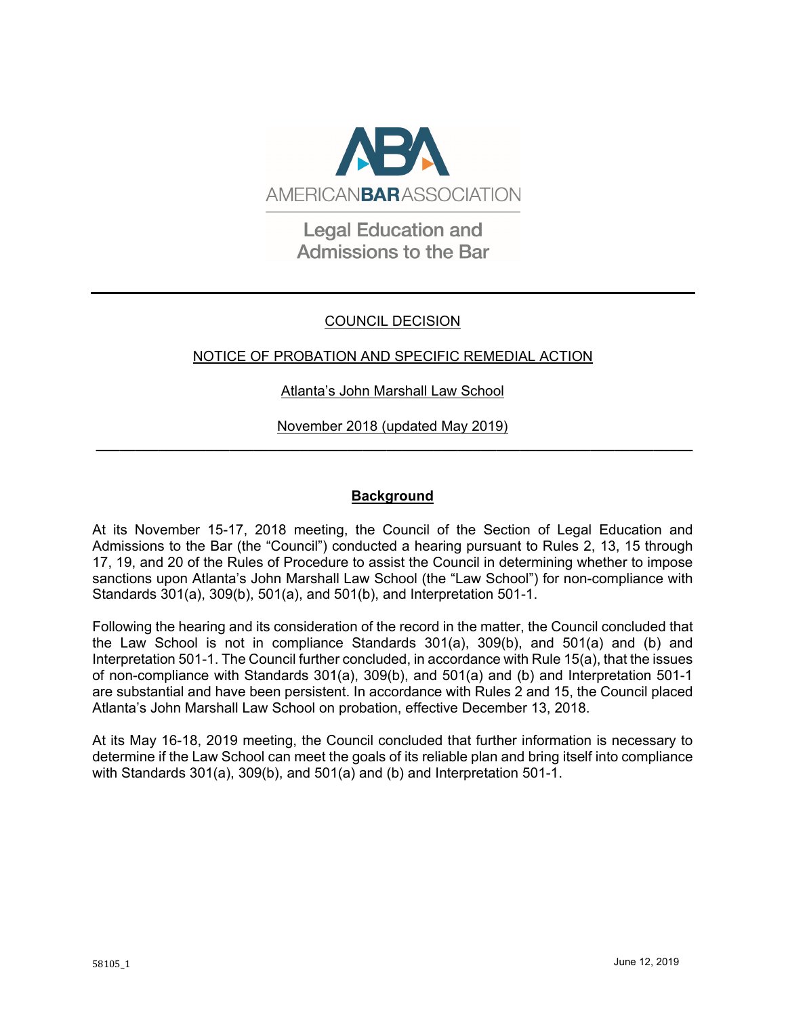

**Legal Education and Admissions to the Bar** 

# COUNCIL DECISION

# NOTICE OF PROBATION AND SPECIFIC REMEDIAL ACTION

### Atlanta's John Marshall Law School

November 2018 (updated May 2019) **\_\_\_\_\_\_\_\_\_\_\_\_\_\_\_\_\_\_\_\_\_\_\_\_\_\_\_\_\_\_\_\_\_\_\_\_\_\_\_\_\_\_\_\_\_\_\_\_\_\_\_\_\_\_\_\_\_\_\_\_\_\_\_\_\_\_\_\_\_\_\_\_\_\_\_\_**

### **Background**

At its November 15-17, 2018 meeting, the Council of the Section of Legal Education and Admissions to the Bar (the "Council") conducted a hearing pursuant to Rules 2, 13, 15 through 17, 19, and 20 of the Rules of Procedure to assist the Council in determining whether to impose sanctions upon Atlanta's John Marshall Law School (the "Law School") for non-compliance with Standards 301(a), 309(b), 501(a), and 501(b), and Interpretation 501-1.

Following the hearing and its consideration of the record in the matter, the Council concluded that the Law School is not in compliance Standards 301(a), 309(b), and 501(a) and (b) and Interpretation 501-1. The Council further concluded, in accordance with Rule 15(a), that the issues of non-compliance with Standards 301(a), 309(b), and 501(a) and (b) and Interpretation 501-1 are substantial and have been persistent. In accordance with Rules 2 and 15, the Council placed Atlanta's John Marshall Law School on probation, effective December 13, 2018.

At its May 16-18, 2019 meeting, the Council concluded that further information is necessary to determine if the Law School can meet the goals of its reliable plan and bring itself into compliance with Standards 301(a), 309(b), and 501(a) and (b) and Interpretation 501-1.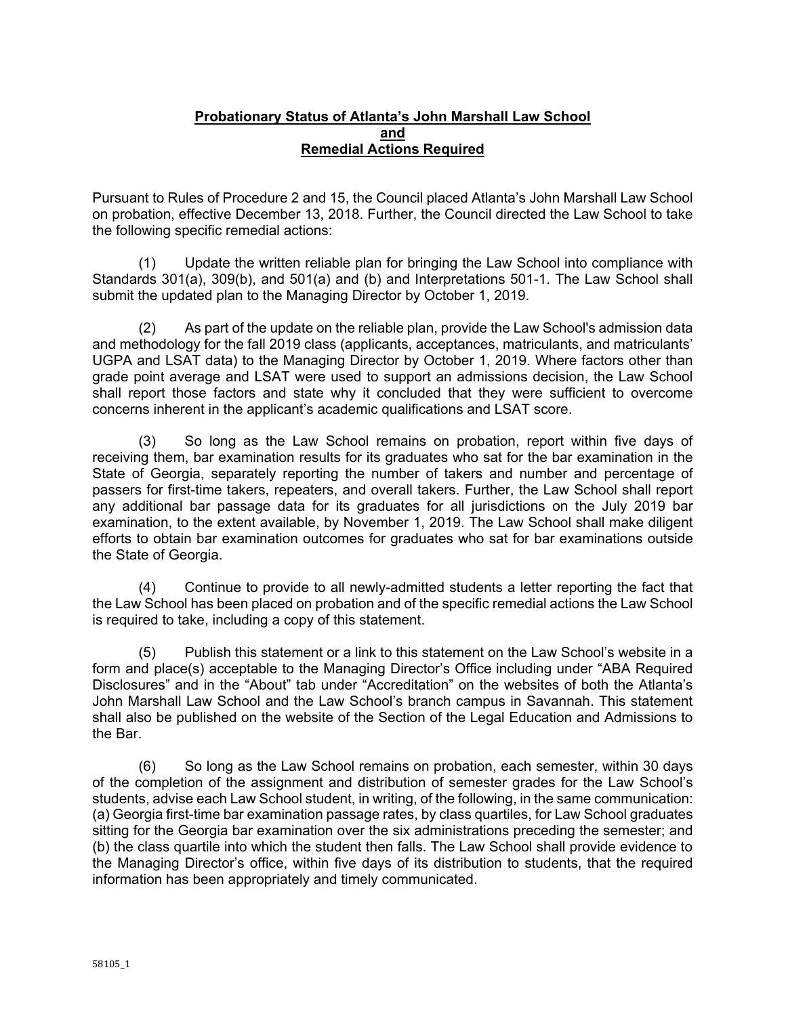#### **Probationary Status of Atlanta's John Marshall Law School and Remedial Actions Required**

Pursuant to Rules of Procedure 2 and 15, the Council placed Atlanta's John Marshall Law School on probation, effective December 13, 2018. Further, the Council directed the Law School to take the following specific remedial actions:

(1) Update the written reliable plan for bringing the Law School into compliance with Standards 301(a), 309(b), and 501(a) and (b) and Interpretations 501-1. The Law School shall submit the updated plan to the Managing Director by October 1, 2019.

(2) As part of the update on the reliable plan, provide the Law School's admission data and methodology for the fall 2019 class (applicants, acceptances, matriculants, and matriculants' UGPA and LSAT data) to the Managing Director by October 1, 2019. Where factors other than grade point average and LSAT were used to support an admissions decision, the Law School shall report those factors and state why it concluded that they were sufficient to overcome concerns inherent in the applicant's academic qualifications and LSAT score.

(3) So long as the Law School remains on probation, report within five days of receiving them, bar examination results for its graduates who sat for the bar examination in the State of Georgia, separately reporting the number of takers and number and percentage of passers for first-time takers, repeaters, and overall takers. Further, the Law School shall report any additional bar passage data for its graduates for all jurisdictions on the July 2019 bar examination, to the extent available, by November 1, 2019. The Law School shall make diligent efforts to obtain bar examination outcomes for graduates who sat for bar examinations outside the State of Georgia.

(4) Continue to provide to all newly-admitted students a letter reporting the fact that the Law School has been placed on probation and of the specific remedial actions the Law School is required to take, including a copy of this statement.

(5) Publish this statement or a link to this statement on the Law School's website in a form and place(s) acceptable to the Managing Director's Office including under "ABA Required Disclosures" and in the "About" tab under "Accreditation" on the websites of both the Atlanta's John Marshall Law School and the Law School's branch campus in Savannah. This statement shall also be published on the website of the Section of the Legal Education and Admissions to the Bar.

(6) So long as the Law School remains on probation, each semester, within 30 days of the completion of the assignment and distribution of semester grades for the Law School's students, advise each Law School student, in writing, of the following, in the same communication: (a) Georgia first-time bar examination passage rates, by class quartiles, for Law School graduates sitting for the Georgia bar examination over the six administrations preceding the semester; and (b) the class quartile into which the student then falls. The Law School shall provide evidence to the Managing Director's office, within five days of its distribution to students, that the required information has been appropriately and timely communicated.